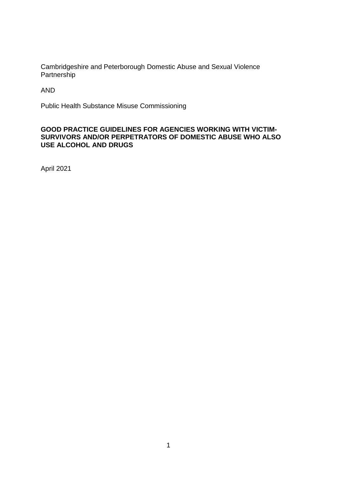Cambridgeshire and Peterborough Domestic Abuse and Sexual Violence Partnership

AND

Public Health Substance Misuse Commissioning

### **GOOD PRACTICE GUIDELINES FOR AGENCIES WORKING WITH VICTIM-SURVIVORS AND/OR PERPETRATORS OF DOMESTIC ABUSE WHO ALSO USE ALCOHOL AND DRUGS**

April 2021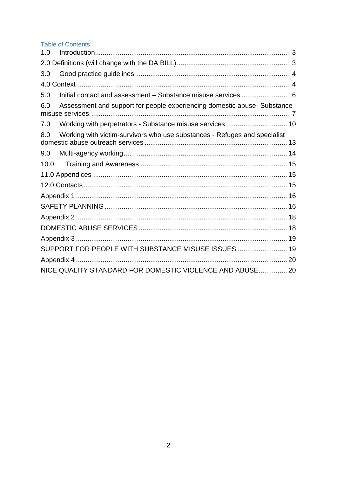# **Table of Contents**

| 1.0  |                                                                           |  |
|------|---------------------------------------------------------------------------|--|
|      |                                                                           |  |
| 3.0  |                                                                           |  |
|      |                                                                           |  |
| 5.0  | Initial contact and assessment - Substance misuse services  6             |  |
| 6.0  | Assessment and support for people experiencing domestic abuse- Substance  |  |
| 7.0  | Working with perpetrators - Substance misuse services  10                 |  |
| 8.0  | Working with victim-survivors who use substances - Refuges and specialist |  |
| 9.0  |                                                                           |  |
| 10.0 |                                                                           |  |
|      |                                                                           |  |
|      |                                                                           |  |
|      |                                                                           |  |
|      |                                                                           |  |
|      |                                                                           |  |
|      |                                                                           |  |
|      |                                                                           |  |
|      | SUPPORT FOR PEOPLE WITH SUBSTANCE MISUSE ISSUES  19                       |  |
|      |                                                                           |  |
|      | NICE QUALITY STANDARD FOR DOMESTIC VIOLENCE AND ABUSE 20                  |  |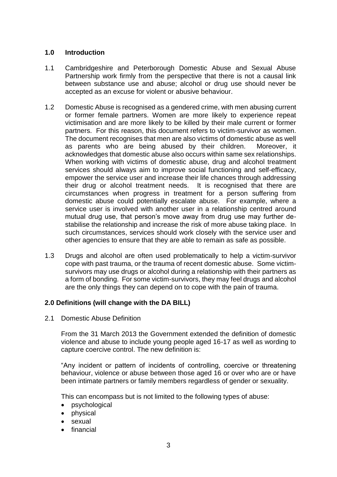### <span id="page-2-0"></span>**1.0 Introduction**

- 1.1 Cambridgeshire and Peterborough Domestic Abuse and Sexual Abuse Partnership work firmly from the perspective that there is not a causal link between substance use and abuse; alcohol or drug use should never be accepted as an excuse for violent or abusive behaviour.
- 1.2 Domestic Abuse is recognised as a gendered crime, with men abusing current or former female partners. Women are more likely to experience repeat victimisation and are more likely to be killed by their male current or former partners. For this reason, this document refers to victim-survivor as women. The document recognises that men are also victims of domestic abuse as well as parents who are being abused by their children. Moreover, it acknowledges that domestic abuse also occurs within same sex relationships. When working with victims of domestic abuse, drug and alcohol treatment services should always aim to improve social functioning and self-efficacy, empower the service user and increase their life chances through addressing their drug or alcohol treatment needs. It is recognised that there are circumstances when progress in treatment for a person suffering from domestic abuse could potentially escalate abuse. For example, where a service user is involved with another user in a relationship centred around mutual drug use, that person's move away from drug use may further destabilise the relationship and increase the risk of more abuse taking place. In such circumstances, services should work closely with the service user and other agencies to ensure that they are able to remain as safe as possible.
- 1.3 Drugs and alcohol are often used problematically to help a victim-survivor cope with past trauma, or the trauma of recent domestic abuse. Some victimsurvivors may use drugs or alcohol during a relationship with their partners as a form of bonding. For some victim-survivors, they may feel drugs and alcohol are the only things they can depend on to cope with the pain of trauma.

### <span id="page-2-1"></span>**2.0 Definitions (will change with the DA BILL)**

2.1 Domestic Abuse Definition

From the 31 March 2013 the Government extended the definition of domestic violence and abuse to include young people aged 16-17 as well as wording to capture coercive control. The new definition is:

"Any incident or pattern of incidents of controlling, coercive or threatening behaviour, violence or abuse between those aged 16 or over who are or have been intimate partners or family members regardless of gender or sexuality.

This can encompass but is not limited to the following types of abuse:

- psychological
- physical
- sexual
- financial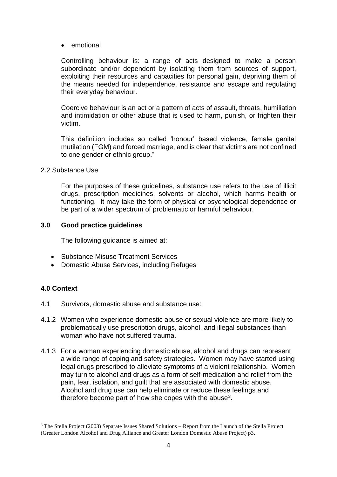• emotional

Controlling behaviour is: a range of acts designed to make a person subordinate and/or dependent by isolating them from sources of support, exploiting their resources and capacities for personal gain, depriving them of the means needed for independence, resistance and escape and regulating their everyday behaviour.

Coercive behaviour is an act or a pattern of acts of assault, threats, humiliation and intimidation or other abuse that is used to harm, punish, or frighten their victim.

This definition includes so called 'honour' based violence, female genital mutilation (FGM) and forced marriage, and is clear that victims are not confined to one gender or ethnic group."

2.2 Substance Use

For the purposes of these guidelines, substance use refers to the use of illicit drugs, prescription medicines, solvents or alcohol, which harms health or functioning. It may take the form of physical or psychological dependence or be part of a wider spectrum of problematic or harmful behaviour.

## <span id="page-3-0"></span>**3.0 Good practice guidelines**

The following guidance is aimed at:

- Substance Misuse Treatment Services
- Domestic Abuse Services, including Refuges

# <span id="page-3-1"></span>**4.0 Context**

- 4.1 Survivors, domestic abuse and substance use:
- 4.1.2 Women who experience domestic abuse or sexual violence are more likely to problematically use prescription drugs, alcohol, and illegal substances than woman who have not suffered trauma.
- 4.1.3 For a woman experiencing domestic abuse, alcohol and drugs can represent a wide range of coping and safety strategies. Women may have started using legal drugs prescribed to alleviate symptoms of a violent relationship. Women may turn to alcohol and drugs as a form of self-medication and relief from the pain, fear, isolation, and guilt that are associated with domestic abuse. Alcohol and drug use can help eliminate or reduce these feelings and therefore become part of how she copes with the abuse<sup>3</sup>.

<sup>1</sup> <sup>3</sup> The Stella Project (2003) Separate Issues Shared Solutions – Report from the Launch of the Stella Project (Greater London Alcohol and Drug Alliance and Greater London Domestic Abuse Project) p3.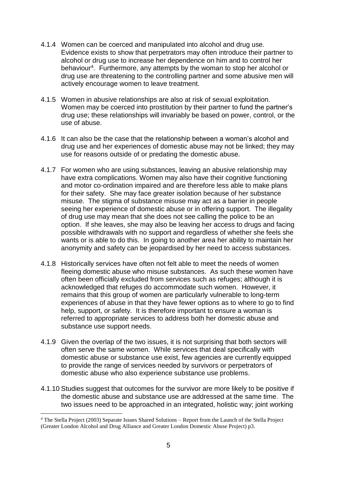- 4.1.4 Women can be coerced and manipulated into alcohol and drug use. Evidence exists to show that perpetrators may often introduce their partner to alcohol or drug use to increase her dependence on him and to control her behaviour<sup>4</sup>. Furthermore, any attempts by the woman to stop her alcohol or drug use are threatening to the controlling partner and some abusive men will actively encourage women to leave treatment.
- 4.1.5 Women in abusive relationships are also at risk of sexual exploitation. Women may be coerced into prostitution by their partner to fund the partner's drug use; these relationships will invariably be based on power, control, or the use of abuse.
- 4.1.6 It can also be the case that the relationship between a woman's alcohol and drug use and her experiences of domestic abuse may not be linked; they may use for reasons outside of or predating the domestic abuse.
- 4.1.7 For women who are using substances, leaving an abusive relationship may have extra complications. Women may also have their cognitive functioning and motor co-ordination impaired and are therefore less able to make plans for their safety. She may face greater isolation because of her substance misuse. The stigma of substance misuse may act as a barrier in people seeing her experience of domestic abuse or in offering support. The illegality of drug use may mean that she does not see calling the police to be an option. If she leaves, she may also be leaving her access to drugs and facing possible withdrawals with no support and regardless of whether she feels she wants or is able to do this. In going to another area her ability to maintain her anonymity and safety can be jeopardised by her need to access substances.
- 4.1.8 Historically services have often not felt able to meet the needs of women fleeing domestic abuse who misuse substances. As such these women have often been officially excluded from services such as refuges; although it is acknowledged that refuges do accommodate such women. However, it remains that this group of women are particularly vulnerable to long-term experiences of abuse in that they have fewer options as to where to go to find help, support, or safety. It is therefore important to ensure a woman is referred to appropriate services to address both her domestic abuse and substance use support needs.
- 4.1.9 Given the overlap of the two issues, it is not surprising that both sectors will often serve the same women. While services that deal specifically with domestic abuse or substance use exist, few agencies are currently equipped to provide the range of services needed by survivors or perpetrators of domestic abuse who also experience substance use problems.
- 4.1.10 Studies suggest that outcomes for the survivor are more likely to be positive if the domestic abuse and substance use are addressed at the same time. The two issues need to be approached in an integrated, holistic way; joint working

1

<sup>4</sup> The Stella Project (2003) Separate Issues Shared Solutions – Report from the Launch of the Stella Project (Greater London Alcohol and Drug Alliance and Greater London Domestic Abuse Project) p3.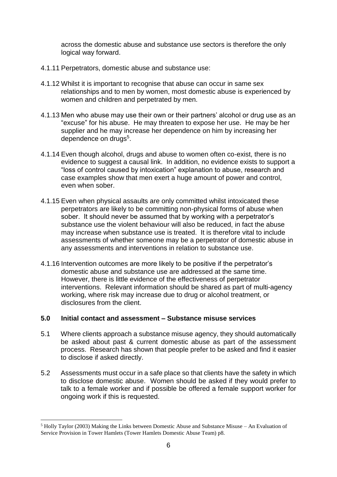across the domestic abuse and substance use sectors is therefore the only logical way forward.

- 4.1.11 Perpetrators, domestic abuse and substance use:
- 4.1.12 Whilst it is important to recognise that abuse can occur in same sex relationships and to men by women, most domestic abuse is experienced by women and children and perpetrated by men.
- 4.1.13 Men who abuse may use their own or their partners' alcohol or drug use as an "excuse" for his abuse. He may threaten to expose her use. He may be her supplier and he may increase her dependence on him by increasing her dependence on drugs<sup>5</sup>.
- 4.1.14 Even though alcohol, drugs and abuse to women often co-exist, there is no evidence to suggest a causal link. In addition, no evidence exists to support a "loss of control caused by intoxication" explanation to abuse, research and case examples show that men exert a huge amount of power and control, even when sober.
- 4.1.15 Even when physical assaults are only committed whilst intoxicated these perpetrators are likely to be committing non-physical forms of abuse when sober. It should never be assumed that by working with a perpetrator's substance use the violent behaviour will also be reduced, in fact the abuse may increase when substance use is treated. It is therefore vital to include assessments of whether someone may be a perpetrator of domestic abuse in any assessments and interventions in relation to substance use.
- 4.1.16 Intervention outcomes are more likely to be positive if the perpetrator's domestic abuse and substance use are addressed at the same time. However, there is little evidence of the effectiveness of perpetrator interventions. Relevant information should be shared as part of multi-agency working, where risk may increase due to drug or alcohol treatment, or disclosures from the client.

### <span id="page-5-0"></span>**5.0 Initial contact and assessment – Substance misuse services**

- 5.1 Where clients approach a substance misuse agency, they should automatically be asked about past & current domestic abuse as part of the assessment process. Research has shown that people prefer to be asked and find it easier to disclose if asked directly.
- 5.2 Assessments must occur in a safe place so that clients have the safety in which to disclose domestic abuse. Women should be asked if they would prefer to talk to a female worker and if possible be offered a female support worker for ongoing work if this is requested.

1

 $<sup>5</sup>$  Holly Taylor (2003) Making the Links between Domestic Abuse and Substance Misuse – An Evaluation of</sup> Service Provision in Tower Hamlets (Tower Hamlets Domestic Abuse Team) p8.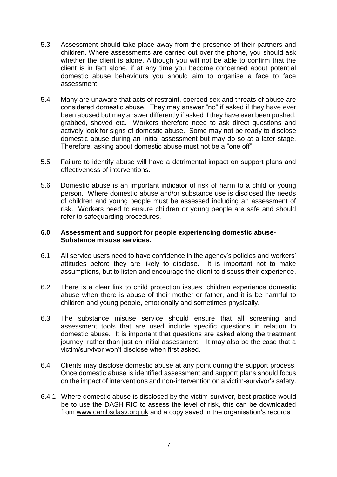- 5.3 Assessment should take place away from the presence of their partners and children. Where assessments are carried out over the phone, you should ask whether the client is alone. Although you will not be able to confirm that the client is in fact alone, if at any time you become concerned about potential domestic abuse behaviours you should aim to organise a face to face assessment.
- 5.4 Many are unaware that acts of restraint, coerced sex and threats of abuse are considered domestic abuse. They may answer "no" if asked if they have ever been abused but may answer differently if asked if they have ever been pushed, grabbed, shoved etc. Workers therefore need to ask direct questions and actively look for signs of domestic abuse. Some may not be ready to disclose domestic abuse during an initial assessment but may do so at a later stage. Therefore, asking about domestic abuse must not be a "one off".
- 5.5 Failure to identify abuse will have a detrimental impact on support plans and effectiveness of interventions.
- 5.6 Domestic abuse is an important indicator of risk of harm to a child or young person. Where domestic abuse and/or substance use is disclosed the needs of children and young people must be assessed including an assessment of risk. Workers need to ensure children or young people are safe and should refer to safeguarding procedures.

#### <span id="page-6-0"></span>**6.0 Assessment and support for people experiencing domestic abuse-Substance misuse services.**

- 6.1 All service users need to have confidence in the agency's policies and workers' attitudes before they are likely to disclose. It is important not to make assumptions, but to listen and encourage the client to discuss their experience.
- 6.2 There is a clear link to child protection issues; children experience domestic abuse when there is abuse of their mother or father, and it is be harmful to children and young people, emotionally and sometimes physically.
- 6.3 The substance misuse service should ensure that all screening and assessment tools that are used include specific questions in relation to domestic abuse. It is important that questions are asked along the treatment journey, rather than just on initial assessment. It may also be the case that a victim/survivor won't disclose when first asked.
- 6.4 Clients may disclose domestic abuse at any point during the support process. Once domestic abuse is identified assessment and support plans should focus on the impact of interventions and non-intervention on a victim-survivor's safety.
- 6.4.1 Where domestic abuse is disclosed by the victim-survivor, best practice would be to use the DASH RIC to assess the level of risk, this can be downloaded from [www.cambsdasv.org.uk](http://www.cambsdasv.org.uk/) and a copy saved in the organisation's records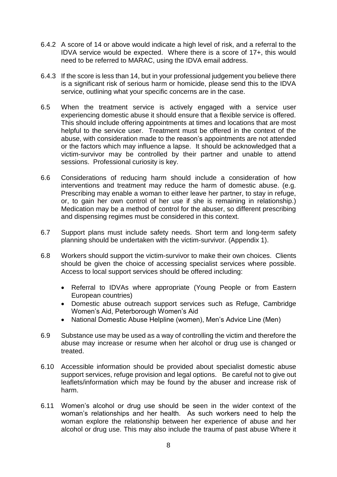- 6.4.2 A score of 14 or above would indicate a high level of risk, and a referral to the IDVA service would be expected. Where there is a score of 17+, this would need to be referred to MARAC, using the IDVA email address.
- 6.4.3 If the score is less than 14, but in your professional judgement you believe there is a significant risk of serious harm or homicide, please send this to the IDVA service, outlining what your specific concerns are in the case.
- 6.5 When the treatment service is actively engaged with a service user experiencing domestic abuse it should ensure that a flexible service is offered. This should include offering appointments at times and locations that are most helpful to the service user. Treatment must be offered in the context of the abuse, with consideration made to the reason's appointments are not attended or the factors which may influence a lapse. It should be acknowledged that a victim-survivor may be controlled by their partner and unable to attend sessions. Professional curiosity is key.
- 6.6 Considerations of reducing harm should include a consideration of how interventions and treatment may reduce the harm of domestic abuse. (e.g. Prescribing may enable a woman to either leave her partner, to stay in refuge, or, to gain her own control of her use if she is remaining in relationship.) Medication may be a method of control for the abuser, so different prescribing and dispensing regimes must be considered in this context.
- 6.7 Support plans must include safety needs. Short term and long-term safety planning should be undertaken with the victim-survivor. (Appendix 1).
- 6.8 Workers should support the victim-survivor to make their own choices. Clients should be given the choice of accessing specialist services where possible. Access to local support services should be offered including:
	- Referral to IDVAs where appropriate (Young People or from Eastern European countries)
	- Domestic abuse outreach support services such as Refuge, Cambridge Women's Aid, Peterborough Women's Aid
	- National Domestic Abuse Helpline (women), Men's Advice Line (Men)
- 6.9 Substance use may be used as a way of controlling the victim and therefore the abuse may increase or resume when her alcohol or drug use is changed or treated.
- 6.10 Accessible information should be provided about specialist domestic abuse support services, refuge provision and legal options. Be careful not to give out leaflets/information which may be found by the abuser and increase risk of harm.
- 6.11 Women's alcohol or drug use should be seen in the wider context of the woman's relationships and her health. As such workers need to help the woman explore the relationship between her experience of abuse and her alcohol or drug use. This may also include the trauma of past abuse Where it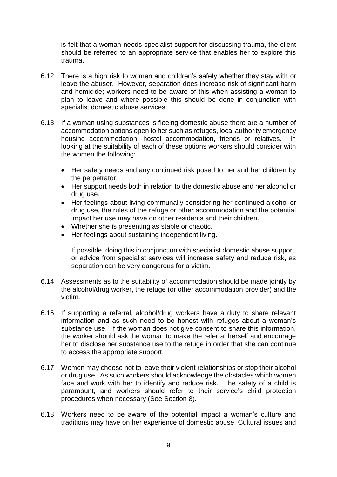is felt that a woman needs specialist support for discussing trauma, the client should be referred to an appropriate service that enables her to explore this trauma.

- 6.12 There is a high risk to women and children's safety whether they stay with or leave the abuser. However, separation does increase risk of significant harm and homicide; workers need to be aware of this when assisting a woman to plan to leave and where possible this should be done in conjunction with specialist domestic abuse services.
- 6.13 If a woman using substances is fleeing domestic abuse there are a number of accommodation options open to her such as refuges, local authority emergency housing accommodation, hostel accommodation, friends or relatives. In looking at the suitability of each of these options workers should consider with the women the following:
	- Her safety needs and any continued risk posed to her and her children by the perpetrator.
	- Her support needs both in relation to the domestic abuse and her alcohol or drug use.
	- Her feelings about living communally considering her continued alcohol or drug use, the rules of the refuge or other accommodation and the potential impact her use may have on other residents and their children.
	- Whether she is presenting as stable or chaotic.
	- Her feelings about sustaining independent living.

If possible, doing this in conjunction with specialist domestic abuse support, or advice from specialist services will increase safety and reduce risk, as separation can be very dangerous for a victim.

- 6.14 Assessments as to the suitability of accommodation should be made jointly by the alcohol/drug worker, the refuge (or other accommodation provider) and the victim.
- 6.15 If supporting a referral, alcohol/drug workers have a duty to share relevant information and as such need to be honest with refuges about a woman's substance use. If the woman does not give consent to share this information, the worker should ask the woman to make the referral herself and encourage her to disclose her substance use to the refuge in order that she can continue to access the appropriate support.
- 6.17 Women may choose not to leave their violent relationships or stop their alcohol or drug use. As such workers should acknowledge the obstacles which women face and work with her to identify and reduce risk. The safety of a child is paramount, and workers should refer to their service's child protection procedures when necessary (See Section 8).
- 6.18 Workers need to be aware of the potential impact a woman's culture and traditions may have on her experience of domestic abuse. Cultural issues and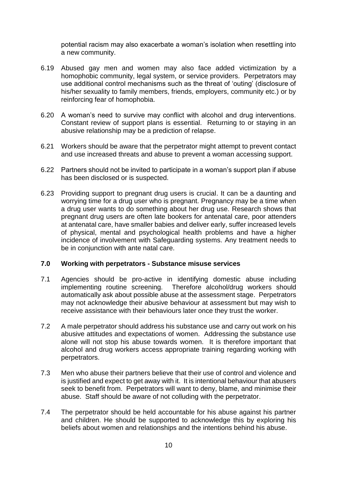potential racism may also exacerbate a woman's isolation when resettling into a new community.

- 6.19 Abused gay men and women may also face added victimization by a homophobic community, legal system, or service providers. Perpetrators may use additional control mechanisms such as the threat of 'outing' (disclosure of his/her sexuality to family members, friends, employers, community etc.) or by reinforcing fear of homophobia.
- 6.20 A woman's need to survive may conflict with alcohol and drug interventions. Constant review of support plans is essential. Returning to or staying in an abusive relationship may be a prediction of relapse.
- 6.21 Workers should be aware that the perpetrator might attempt to prevent contact and use increased threats and abuse to prevent a woman accessing support.
- 6.22 Partners should not be invited to participate in a woman's support plan if abuse has been disclosed or is suspected.
- 6.23 Providing support to pregnant drug users is crucial. It can be a daunting and worrying time for a drug user who is pregnant. Pregnancy may be a time when a drug user wants to do something about her drug use. Research shows that pregnant drug users are often late bookers for antenatal care, poor attenders at antenatal care, have smaller babies and deliver early, suffer increased levels of physical, mental and psychological health problems and have a higher incidence of involvement with Safeguarding systems. Any treatment needs to be in conjunction with ante natal care.

#### <span id="page-9-0"></span>**7.0 Working with perpetrators - Substance misuse services**

- 7.1 Agencies should be pro-active in identifying domestic abuse including implementing routine screening. Therefore alcohol/drug workers should automatically ask about possible abuse at the assessment stage. Perpetrators may not acknowledge their abusive behaviour at assessment but may wish to receive assistance with their behaviours later once they trust the worker.
- 7.2 A male perpetrator should address his substance use and carry out work on his abusive attitudes and expectations of women. Addressing the substance use alone will not stop his abuse towards women. It is therefore important that alcohol and drug workers access appropriate training regarding working with perpetrators.
- 7.3 Men who abuse their partners believe that their use of control and violence and is justified and expect to get away with it. It is intentional behaviour that abusers seek to benefit from. Perpetrators will want to deny, blame, and minimise their abuse. Staff should be aware of not colluding with the perpetrator.
- 7.4 The perpetrator should be held accountable for his abuse against his partner and children. He should be supported to acknowledge this by exploring his beliefs about women and relationships and the intentions behind his abuse.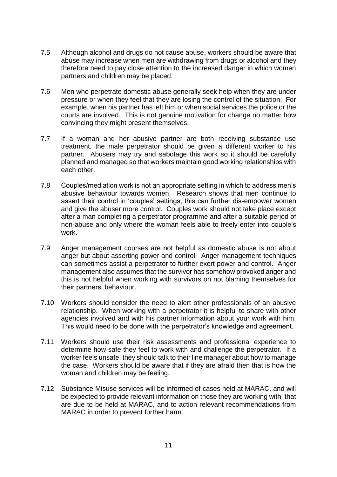- 7.5 Although alcohol and drugs do not cause abuse, workers should be aware that abuse may increase when men are withdrawing from drugs or alcohol and they therefore need to pay close attention to the increased danger in which women partners and children may be placed.
- 7.6 Men who perpetrate domestic abuse generally seek help when they are under pressure or when they feel that they are losing the control of the situation. For example, when his partner has left him or when social services the police or the courts are involved. This is not genuine motivation for change no matter how convincing they might present themselves.
- 7.7 If a woman and her abusive partner are both receiving substance use treatment, the male perpetrator should be given a different worker to his partner. Abusers may try and sabotage this work so it should be carefully planned and managed so that workers maintain good working relationships with each other.
- 7.8 Couples/mediation work is not an appropriate setting in which to address men's abusive behaviour towards women. Research shows that men continue to assert their control in 'couples' settings; this can further dis-empower women and give the abuser more control. Couples work should not take place except after a man completing a perpetrator programme and after a suitable period of non-abuse and only where the woman feels able to freely enter into couple's work.
- 7.9 Anger management courses are not helpful as domestic abuse is not about anger but about asserting power and control. Anger management techniques can sometimes assist a perpetrator to further exert power and control. Anger management also assumes that the survivor has somehow provoked anger and this is not helpful when working with survivors on not blaming themselves for their partners' behaviour.
- 7.10 Workers should consider the need to alert other professionals of an abusive relationship. When working with a perpetrator it is helpful to share with other agencies involved and with his partner information about your work with him. This would need to be done with the perpetrator's knowledge and agreement.
- 7.11 Workers should use their risk assessments and professional experience to determine how safe they feel to work with and challenge the perpetrator. If a worker feels unsafe, they should talk to their line manager about how to manage the case. Workers should be aware that if they are afraid then that is how the woman and children may be feeling.
- 7.12 Substance Misuse services will be informed of cases held at MARAC, and will be expected to provide relevant information on those they are working with, that are due to be held at MARAC, and to action relevant recommendations from MARAC in order to prevent further harm.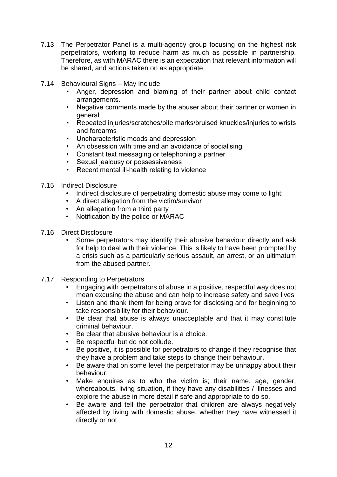- 7.13 The Perpetrator Panel is a multi-agency group focusing on the highest risk perpetrators, working to reduce harm as much as possible in partnership. Therefore, as with MARAC there is an expectation that relevant information will be shared, and actions taken on as appropriate.
- 7.14 Behavioural Signs May Include:
	- Anger, depression and blaming of their partner about child contact arrangements.
	- Negative comments made by the abuser about their partner or women in general
	- Repeated injuries/scratches/bite marks/bruised knuckles/injuries to wrists and forearms
	- Uncharacteristic moods and depression
	- An obsession with time and an avoidance of socialising
	- Constant text messaging or telephoning a partner
	- Sexual jealousy or possessiveness
	- Recent mental ill-health relating to violence
- 7.15 Indirect Disclosure
	- Indirect disclosure of perpetrating domestic abuse may come to light:
	- A direct allegation from the victim/survivor
	- An allegation from a third party
	- Notification by the police or MARAC
- 7.16 Direct Disclosure
	- Some perpetrators may identify their abusive behaviour directly and ask for help to deal with their violence. This is likely to have been prompted by a crisis such as a particularly serious assault, an arrest, or an ultimatum from the abused partner.
- 7.17 Responding to Perpetrators
	- Engaging with perpetrators of abuse in a positive, respectful way does not mean excusing the abuse and can help to increase safety and save lives
	- Listen and thank them for being brave for disclosing and for beginning to take responsibility for their behaviour.
	- Be clear that abuse is always unacceptable and that it may constitute criminal behaviour.
	- Be clear that abusive behaviour is a choice.
	- Be respectful but do not collude.
	- Be positive, it is possible for perpetrators to change if they recognise that they have a problem and take steps to change their behaviour.
	- Be aware that on some level the perpetrator may be unhappy about their behaviour.
	- Make enquires as to who the victim is; their name, age, gender, whereabouts, living situation, if they have any disabilities / illnesses and explore the abuse in more detail if safe and appropriate to do so.
	- Be aware and tell the perpetrator that children are always negatively affected by living with domestic abuse, whether they have witnessed it directly or not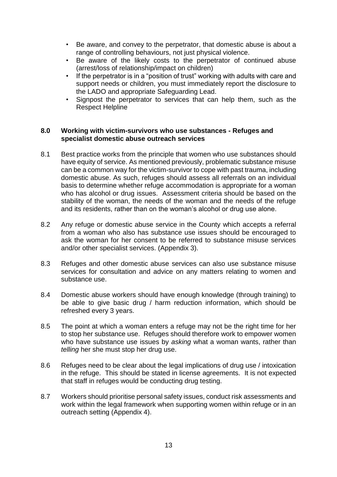- Be aware, and convey to the perpetrator, that domestic abuse is about a range of controlling behaviours, not just physical violence.
- Be aware of the likely costs to the perpetrator of continued abuse (arrest/loss of relationship/impact on children)
- If the perpetrator is in a "position of trust" working with adults with care and support needs or children, you must immediately report the disclosure to the LADO and appropriate Safeguarding Lead.
- Signpost the perpetrator to services that can help them, such as the Respect Helpline

### <span id="page-12-0"></span>**8.0 Working with victim-survivors who use substances - Refuges and specialist domestic abuse outreach services**

- 8.1 Best practice works from the principle that women who use substances should have equity of service. As mentioned previously, problematic substance misuse can be a common way for the victim-survivor to cope with past trauma, including domestic abuse. As such, refuges should assess all referrals on an individual basis to determine whether refuge accommodation is appropriate for a woman who has alcohol or drug issues. Assessment criteria should be based on the stability of the woman, the needs of the woman and the needs of the refuge and its residents, rather than on the woman's alcohol or drug use alone.
- 8.2 Any refuge or domestic abuse service in the County which accepts a referral from a woman who also has substance use issues should be encouraged to ask the woman for her consent to be referred to substance misuse services and/or other specialist services. (Appendix 3).
- 8.3 Refuges and other domestic abuse services can also use substance misuse services for consultation and advice on any matters relating to women and substance use.
- 8.4 Domestic abuse workers should have enough knowledge (through training) to be able to give basic drug / harm reduction information, which should be refreshed every 3 years.
- 8.5 The point at which a woman enters a refuge may not be the right time for her to stop her substance use. Refuges should therefore work to empower women who have substance use issues by *asking* what a woman wants, rather than *telling* her she must stop her drug use.
- 8.6 Refuges need to be clear about the legal implications of drug use / intoxication in the refuge. This should be stated in license agreements. It is not expected that staff in refuges would be conducting drug testing.
- 8.7 Workers should prioritise personal safety issues, conduct risk assessments and work within the legal framework when supporting women within refuge or in an outreach setting (Appendix 4).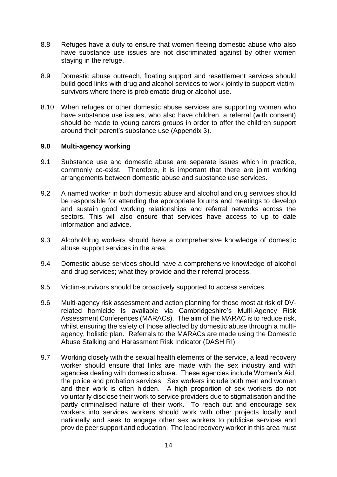- 8.8 Refuges have a duty to ensure that women fleeing domestic abuse who also have substance use issues are not discriminated against by other women staying in the refuge.
- 8.9 Domestic abuse outreach, floating support and resettlement services should build good links with drug and alcohol services to work jointly to support victimsurvivors where there is problematic drug or alcohol use.
- 8.10 When refuges or other domestic abuse services are supporting women who have substance use issues, who also have children, a referral (with consent) should be made to young carers groups in order to offer the children support around their parent's substance use (Appendix 3).

#### <span id="page-13-0"></span>**9.0 Multi-agency working**

- 9.1 Substance use and domestic abuse are separate issues which in practice, commonly co-exist. Therefore, it is important that there are joint working arrangements between domestic abuse and substance use services.
- 9.2 A named worker in both domestic abuse and alcohol and drug services should be responsible for attending the appropriate forums and meetings to develop and sustain good working relationships and referral networks across the sectors. This will also ensure that services have access to up to date information and advice.
- 9.3 Alcohol/drug workers should have a comprehensive knowledge of domestic abuse support services in the area.
- 9.4 Domestic abuse services should have a comprehensive knowledge of alcohol and drug services; what they provide and their referral process.
- 9.5 Victim-survivors should be proactively supported to access services.
- 9.6 Multi-agency risk assessment and action planning for those most at risk of DVrelated homicide is available via Cambridgeshire's Multi-Agency Risk Assessment Conferences (MARACs). The aim of the MARAC is to reduce risk, whilst ensuring the safety of those affected by domestic abuse through a multiagency, holistic plan. Referrals to the MARACs are made using the Domestic Abuse Stalking and Harassment Risk Indicator (DASH RI).
- 9.7 Working closely with the sexual health elements of the service, a lead recovery worker should ensure that links are made with the sex industry and with agencies dealing with domestic abuse. These agencies include Women's Aid, the police and probation services. Sex workers include both men and women and their work is often hidden. A high proportion of sex workers do not voluntarily disclose their work to service providers due to stigmatisation and the partly criminalised nature of their work. To reach out and encourage sex workers into services workers should work with other projects locally and nationally and seek to engage other sex workers to publicise services and provide peer support and education. The lead recovery worker in this area must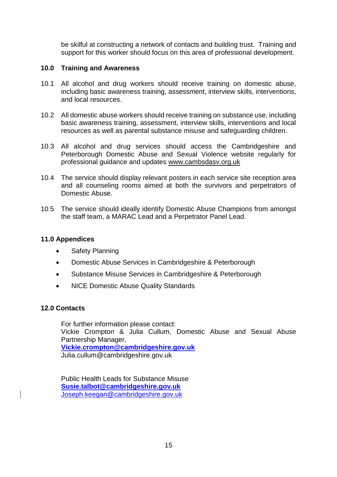be skilful at constructing a network of contacts and building trust. Training and support for this worker should focus on this area of professional development.

### <span id="page-14-0"></span>**10.0 Training and Awareness**

- 10.1 All alcohol and drug workers should receive training on domestic abuse, including basic awareness training, assessment, interview skills, interventions, and local resources.
- 10.2 All domestic abuse workers should receive training on substance use, including basic awareness training, assessment, interview skills, interventions and local resources as well as parental substance misuse and safeguarding children.
- 10.3 All alcohol and drug services should access the Cambridgeshire and Peterborough Domestic Abuse and Sexual Violence website regularly for professional guidance and updates [www.cambsdasv.org.uk](http://www.cambsdasv.org.uk/)
- 10.4 The service should display relevant posters in each service site reception area and all counseling rooms aimed at both the survivors and perpetrators of Domestic Abuse.
- 10.5 The service should ideally identify Domestic Abuse Champions from amongst the staff team, a MARAC Lead and a Perpetrator Panel Lead.

### <span id="page-14-1"></span>**11.0 Appendices**

- Safety Planning
- Domestic Abuse Services in Cambridgeshire & Peterborough
- Substance Misuse Services in Cambridgeshire & Peterborough
- NICE Domestic Abuse Quality Standards

### <span id="page-14-2"></span>**12.0 Contacts**

For further information please contact: Vickie Crompton & Julia Cullum, Domestic Abuse and Sexual Abuse Partnership Manager, **[Vickie.crompton@cambridgeshire.gov.uk](mailto:Vickie.crompton@cambridgeshire.gov.uk)** Julia.cullum@cambridgeshire.gov.uk

Public Health Leads for Substance Misuse **[Susie.talbot@cambridgeshire.gov.uk](mailto:Susie.talbot@cambridgeshire.gov.uk)** [Joseph.keegan@cambridgeshire.gov.uk](mailto:Joseph.keegan@cambridgeshire.gov.uk)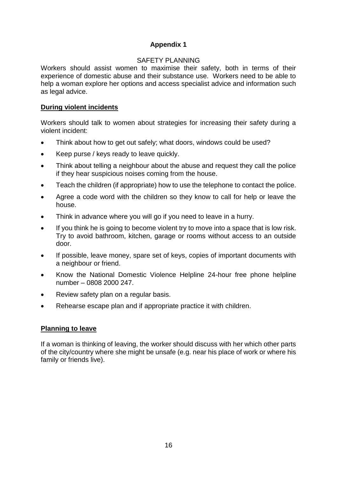# **Appendix 1**

### SAFETY PLANNING

<span id="page-15-1"></span><span id="page-15-0"></span>Workers should assist women to maximise their safety, both in terms of their experience of domestic abuse and their substance use. Workers need to be able to help a woman explore her options and access specialist advice and information such as legal advice.

# **During violent incidents**

Workers should talk to women about strategies for increasing their safety during a violent incident:

- Think about how to get out safely; what doors, windows could be used?
- Keep purse / keys ready to leave quickly.
- Think about telling a neighbour about the abuse and request they call the police if they hear suspicious noises coming from the house.
- Teach the children (if appropriate) how to use the telephone to contact the police.
- Agree a code word with the children so they know to call for help or leave the house.
- Think in advance where you will go if you need to leave in a hurry.
- If you think he is going to become violent try to move into a space that is low risk. Try to avoid bathroom, kitchen, garage or rooms without access to an outside door.
- If possible, leave money, spare set of keys, copies of important documents with a neighbour or friend.
- Know the National Domestic Violence Helpline 24-hour free phone helpline number – 0808 2000 247.
- Review safety plan on a regular basis.
- Rehearse escape plan and if appropriate practice it with children.

# **Planning to leave**

If a woman is thinking of leaving, the worker should discuss with her which other parts of the city/country where she might be unsafe (e.g. near his place of work or where his family or friends live).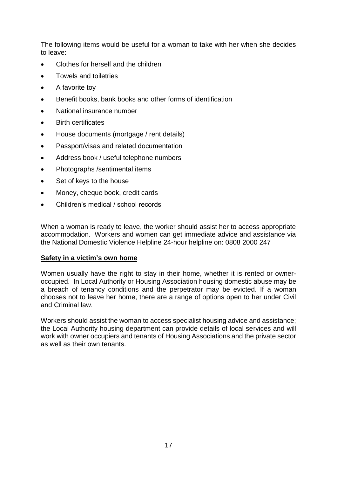The following items would be useful for a woman to take with her when she decides to leave:

- Clothes for herself and the children
- Towels and toiletries
- A favorite toy
- Benefit books, bank books and other forms of identification
- National insurance number
- Birth certificates
- House documents (mortgage / rent details)
- Passport/visas and related documentation
- Address book / useful telephone numbers
- Photographs / sentimental items
- Set of keys to the house
- Money, cheque book, credit cards
- Children's medical / school records

When a woman is ready to leave, the worker should assist her to access appropriate accommodation. Workers and women can get immediate advice and assistance via the National Domestic Violence Helpline 24-hour helpline on: 0808 2000 247

### **Safety in a victim's own home**

Women usually have the right to stay in their home, whether it is rented or owneroccupied. In Local Authority or Housing Association housing domestic abuse may be a breach of tenancy conditions and the perpetrator may be evicted. If a woman chooses not to leave her home, there are a range of options open to her under Civil and Criminal law.

Workers should assist the woman to access specialist housing advice and assistance; the Local Authority housing department can provide details of local services and will work with owner occupiers and tenants of Housing Associations and the private sector as well as their own tenants.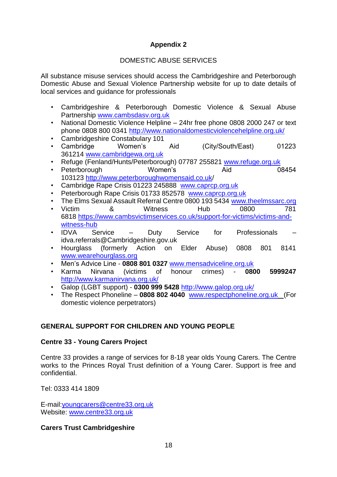# **Appendix 2**

# DOMESTIC ABUSE SERVICES

<span id="page-17-1"></span><span id="page-17-0"></span>All substance misuse services should access the Cambridgeshire and Peterborough Domestic Abuse and Sexual Violence Partnership website for up to date details of local services and guidance for professionals

- Cambridgeshire & Peterborough Domestic Violence & Sexual Abuse Partnership [www.cambsdasv.org.uk](http://www.cambsdasv.org.uk/)
- National Domestic Violence Helpline 24hr free phone 0808 2000 247 or text phone 0808 800 0341<http://www.nationaldomesticviolencehelpline.org.uk/>
- Cambridgeshire Constabulary 101
- Cambridge Women's Aid (City/South/East) 01223 361214 [www.cambridgewa.org.uk](http://www.cambridgewa.org.uk/)
- Refuge (Fenland/Hunts/Peterborough) 07787 255821 [www.refuge.org.uk](http://www.refuge.org.uk/)
- Peterborough **Women's** Aid 08454 103123 <http://www.peterboroughwomensaid.co.uk/>
- Cambridge Rape Crisis 01223 245888 [www.caprcp.org.uk](http://www.caprcp.org.uk/)
- Peterborough Rape Crisis 01733 852578 [www.caprcp.org.uk](http://www.caprcp.org.uk/)
- The Elms Sexual Assault Referral Centre 0800 193 5434 [www.theelmssarc.org](http://www.theelmsarc.org/) • Victim a & Witness Hub 0800 781 6818 [https://www.cambsvictimservices.co.uk/support-for-victims/victims-and](https://www.cambsvictimservices.co.uk/support-for-victims/victims-and-witness-hub)[witness-hub](https://www.cambsvictimservices.co.uk/support-for-victims/victims-and-witness-hub)
- IDVA Service Duty Service for Professionals idva.referrals@Cambridgeshire.gov.uk
- Hourglass (formerly Action on Elder Abuse) 0808 801 8141 [www.wearehourglass.org](http://www.wearehourglass.org/)
- Men's Advice Line **0808 801 0327** [www.mensadviceline.org.uk](http://www.mensadviceline.org.uk/)
- Karma Nirvana (victims of honour crimes) **0800 5999247**  <http://www.karmanirvana.org.uk/>
- Galop (LGBT support) **0300 999 5428** <http://www.galop.org.uk/>
- The Respect Phoneline **0808 802 4040** [www.respectphoneline.org.uk](http://www.respectphoneline.org.uk/) (For domestic violence perpetrators)

# **GENERAL SUPPORT FOR CHILDREN AND YOUNG PEOPLE**

# **Centre 33 - Young Carers Project**

Centre 33 provides a range of services for 8-18 year olds Young Carers. The Centre works to the Princes Royal Trust definition of a Young Carer. Support is free and confidential.

Tel: 0333 414 1809

E-mail[:youngcarers@centre33.org.uk](mailto:youngcarers@centre33.org.uk) Website: [www.centre33.org.uk](http://www.centre33.org.uk/)

# **Carers Trust Cambridgeshire**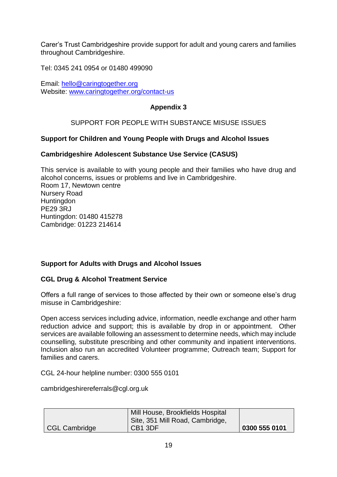[Carer's Trust Cambridgeshire](https://www.carerstrustcpn.org/support/make-yc-yac-referral) provide support for adult and young carers and families throughout Cambridgeshire.

Tel: 0345 241 0954 or 01480 499090

<span id="page-18-0"></span>Email: [hello@caringtogether.org](mailto:hello@caringtogether.org) Website: [www.caringtogether.org/contact-us](http://www.caringtogether.org/contact-us)

## **Appendix 3**

## SUPPORT FOR PEOPLE WITH SUBSTANCE MISUSE ISSUES

## <span id="page-18-1"></span>**Support for Children and Young People with Drugs and Alcohol Issues**

## **Cambridgeshire Adolescent Substance Use Service (CASUS)**

This service is available to with young people and their families who have drug and alcohol concerns, issues or problems and live in Cambridgeshire. Room 17, Newtown centre Nursery Road **Huntingdon** PE29 3RJ Huntingdon: 01480 415278 Cambridge: 01223 214614

### **Support for Adults with Drugs and Alcohol Issues**

### **CGL Drug & Alcohol Treatment Service**

Offers a full range of services to those affected by their own or someone else's drug misuse in Cambridgeshire:

Open access services including advice, information, needle exchange and other harm reduction advice and support; this is available by drop in or appointment. Other services are available following an assessment to determine needs, which may include counselling, substitute prescribing and other community and inpatient interventions. Inclusion also run an accredited Volunteer programme; Outreach team; Support for families and carers.

CGL 24-hour helpline number: 0300 555 0101

cambridgeshirereferrals@cgl.org.uk

|                      | Mill House, Brookfields Hospital<br>Site, 351 Mill Road, Cambridge, |               |
|----------------------|---------------------------------------------------------------------|---------------|
| <b>CGL Cambridge</b> | CB <sub>1</sub> 3DF                                                 | 0300 555 0101 |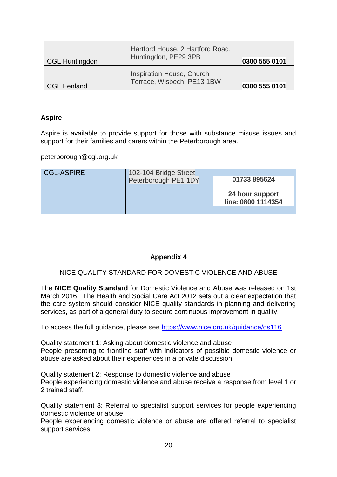| CGL Huntingdon | Hartford House, 2 Hartford Road,<br>Huntingdon, PE29 3PB | 0300 555 0101 |
|----------------|----------------------------------------------------------|---------------|
| CGL Fenland    | Inspiration House, Church<br>Terrace, Wisbech, PE13 1BW  | 0300 555 0101 |

### **Aspire**

Aspire is available to provide support for those with substance misuse issues and support for their families and carers within the Peterborough area.

peterborough@cgl.org.uk

| <b>CGL-ASPIRE</b> | 102-104 Bridge Street<br>Peterborough PE1 1DY |                                       |
|-------------------|-----------------------------------------------|---------------------------------------|
|                   |                                               | 01733 895624                          |
|                   |                                               | 24 hour support<br>line: 0800 1114354 |
|                   |                                               |                                       |

# **Appendix 4**

### <span id="page-19-0"></span>NICE QUALITY STANDARD FOR DOMESTIC VIOLENCE AND ABUSE

<span id="page-19-1"></span>The **NICE Quality Standard** for Domestic Violence and Abuse was released on 1st March 2016. The Health and Social Care Act 2012 sets out a clear expectation that the care system should consider NICE quality standards in planning and delivering services, as part of a general duty to secure continuous improvement in quality.

To access the full guidance, please see<https://www.nice.org.uk/guidance/qs116>

Quality statement 1: Asking about domestic violence and abuse People presenting to frontline staff with indicators of possible domestic violence or abuse are asked about their experiences in a private discussion.

Quality statement 2: Response to domestic violence and abuse People experiencing domestic violence and abuse receive a response from level 1 or 2 trained staff.

Quality statement 3: Referral to specialist support services for people experiencing domestic violence or abuse

People experiencing domestic violence or abuse are offered referral to specialist support services.